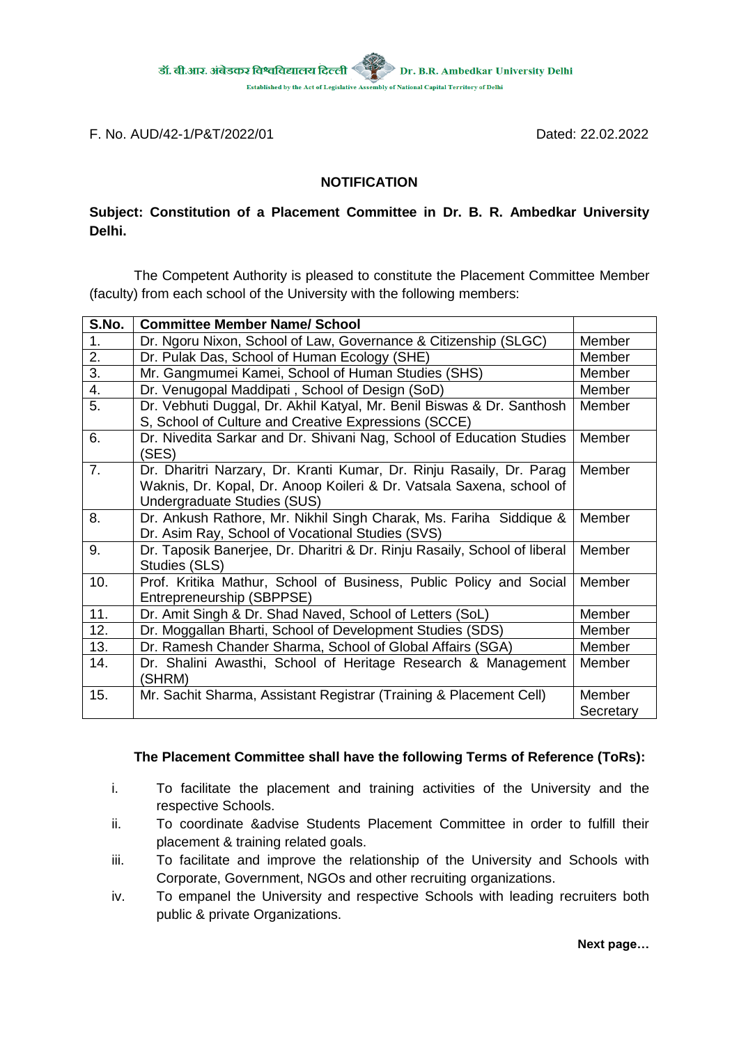

F. No. AUD/42-1/P&T/2022/01 Dated: 22.02.2022

## **NOTIFICATION**

## **Subject: Constitution of a Placement Committee in Dr. B. R. Ambedkar University Delhi.**

The Competent Authority is pleased to constitute the Placement Committee Member (faculty) from each school of the University with the following members:

| S.No.            | <b>Committee Member Name/ School</b>                                                                                                                                        |                     |
|------------------|-----------------------------------------------------------------------------------------------------------------------------------------------------------------------------|---------------------|
| 1.               | Dr. Ngoru Nixon, School of Law, Governance & Citizenship (SLGC)                                                                                                             | Member              |
| $2^{-}$          | Dr. Pulak Das, School of Human Ecology (SHE)                                                                                                                                | Member              |
| $\overline{3}$ . | Mr. Gangmumei Kamei, School of Human Studies (SHS)                                                                                                                          | Member              |
| 4.               | Dr. Venugopal Maddipati, School of Design (SoD)                                                                                                                             | Member              |
| $\overline{5}$ . | Dr. Vebhuti Duggal, Dr. Akhil Katyal, Mr. Benil Biswas & Dr. Santhosh<br>S, School of Culture and Creative Expressions (SCCE)                                               | Member              |
| 6.               | Dr. Nivedita Sarkar and Dr. Shivani Nag, School of Education Studies<br>(SES)                                                                                               | Member              |
| 7.               | Dr. Dharitri Narzary, Dr. Kranti Kumar, Dr. Rinju Rasaily, Dr. Parag<br>Waknis, Dr. Kopal, Dr. Anoop Koileri & Dr. Vatsala Saxena, school of<br>Undergraduate Studies (SUS) | Member              |
| 8.               | Dr. Ankush Rathore, Mr. Nikhil Singh Charak, Ms. Fariha Siddique &<br>Dr. Asim Ray, School of Vocational Studies (SVS)                                                      | Member              |
| 9.               | Dr. Taposik Banerjee, Dr. Dharitri & Dr. Rinju Rasaily, School of liberal<br>Studies (SLS)                                                                                  | Member              |
| 10.              | Prof. Kritika Mathur, School of Business, Public Policy and Social<br>Entrepreneurship (SBPPSE)                                                                             | Member              |
| 11.              | Dr. Amit Singh & Dr. Shad Naved, School of Letters (SoL)                                                                                                                    | Member              |
| 12.              | Dr. Moggallan Bharti, School of Development Studies (SDS)                                                                                                                   | Member              |
| 13.              | Dr. Ramesh Chander Sharma, School of Global Affairs (SGA)                                                                                                                   | Member              |
| 14.              | Dr. Shalini Awasthi, School of Heritage Research & Management<br>(SHRM)                                                                                                     | Member              |
| 15.              | Mr. Sachit Sharma, Assistant Registrar (Training & Placement Cell)                                                                                                          | Member<br>Secretary |

## **The Placement Committee shall have the following Terms of Reference (ToRs):**

- i. To facilitate the placement and training activities of the University and the respective Schools.
- ii. To coordinate &advise Students Placement Committee in order to fulfill their placement & training related goals.
- iii. To facilitate and improve the relationship of the University and Schools with Corporate, Government, NGOs and other recruiting organizations.
- iv. To empanel the University and respective Schools with leading recruiters both public & private Organizations.